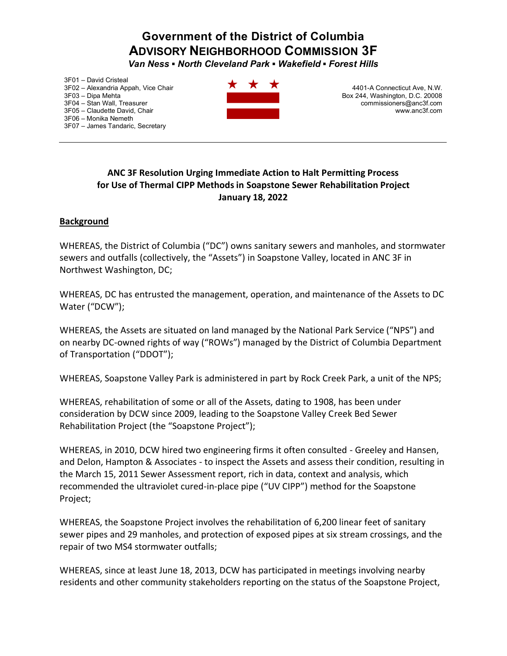# **Government of the District of Columbia ADVISORY NEIGHBORHOOD COMMISSION 3F**

*Van Ness ƒNorth Cleveland Park ƒWakefield ƒ Forest Hills* 

3F01 - David Cristeal 3F02 - Alexandria Appah, Vice Chair 3F03 - Dipa Mehta 3F04 - Stan Wall, Treasurer 3F05 - Claudette David, Chair 3F06 - Monika Nemeth 3F07 - James Tandaric, Secretary



4401-A Connecticut Ave, N.W. Box 244, Washington, D.C. 20008 commissioners@anc3f.com www.anc3f.com

### **ANC 3F Resolution Urging Immediate Action to Halt Permitting Process for Use of Thermal CIPP Methods in Soapstone Sewer Rehabilitation Project January 18, 2022**

#### **Background**

WHEREAS, the District of Columbia ("DC") owns sanitary sewers and manholes, and stormwater sewers and outfalls (collectively, the "Assets") in Soapstone Valley, located in ANC 3F in Northwest Washington, DC;

WHEREAS, DC has entrusted the management, operation, and maintenance of the Assets to DC Water ("DCW");

WHEREAS, the Assets are situated on land managed by the National Park Service ("NPS") and on nearby DC-owned rights of way ("ROWs") managed by the District of Columbia Department of Transportation ("DDOT");

WHEREAS, Soapstone Valley Park is administered in part by Rock Creek Park, a unit of the NPS;

WHEREAS, rehabilitation of some or all of the Assets, dating to 1908, has been under consideration by DCW since 2009, leading to the Soapstone Valley Creek Bed Sewer Rehabilitation Project (the "Soapstone Project");

WHEREAS, in 2010, DCW hired two engineering firms it often consulted - Greeley and Hansen, and Delon, Hampton & Associates - to inspect the Assets and assess their condition, resulting in the March 15, 2011 Sewer Assessment report, rich in data, context and analysis, which recommended the ultraviolet cured-in-place pipe ("UV CIPP") method for the Soapstone Project;

WHEREAS, the Soapstone Project involves the rehabilitation of 6,200 linear feet of sanitary sewer pipes and 29 manholes, and protection of exposed pipes at six stream crossings, and the repair of two MS4 stormwater outfalls;

WHEREAS, since at least June 18, 2013, DCW has participated in meetings involving nearby residents and other community stakeholders reporting on the status of the Soapstone Project,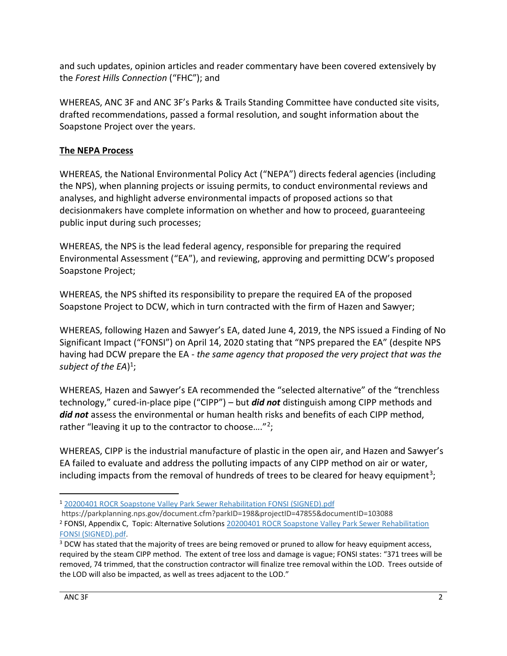and such updates, opinion articles and reader commentary have been covered extensively by the *Forest Hills Connection* ("FHC"); and

WHEREAS, ANC 3F and ANC 3F's Parks & Trails Standing Committee have conducted site visits, drafted recommendations, passed a formal resolution, and sought information about the Soapstone Project over the years.

## **The NEPA Process**

WHEREAS, the National Environmental Policy Act ("NEPA") directs federal agencies (including the NPS), when planning projects or issuing permits, to conduct environmental reviews and analyses, and highlight adverse environmental impacts of proposed actions so that decisionmakers have complete information on whether and how to proceed, guaranteeing public input during such processes;

WHEREAS, the NPS is the lead federal agency, responsible for preparing the required Environmental Assessment ("EA"), and reviewing, approving and permitting DCW's proposed Soapstone Project;

WHEREAS, the NPS shifted its responsibility to prepare the required EA of the proposed Soapstone Project to DCW, which in turn contracted with the firm of Hazen and Sawyer;

WHEREAS, following Hazen and Sawyer's EA, dated June 4, 2019, the NPS issued a Finding of No Significant Impact ("FONSI") on April 14, 2020 stating that "NPS prepared the EA" (despite NPS having had DCW prepare the EA - *the same agency that proposed the very project that was the subject of the EA*) 1;

WHEREAS, Hazen and Sawyer's EA recommended the "selected alternative" of the "trenchless technology," cured-in-place pipe ("CIPP") – but *did not* distinguish among CIPP methods and *did not* assess the environmental or human health risks and benefits of each CIPP method, rather "leaving it up to the contractor to choose...."<sup>2</sup>;

WHEREAS, CIPP is the industrial manufacture of plastic in the open air, and Hazen and Sawyer's EA failed to evaluate and address the polluting impacts of any CIPP method on air or water, including impacts from the removal of hundreds of trees to be cleared for heavy equipment<sup>3</sup>;

<sup>1</sup> 20200401 ROCR Soapstone Valley Park Sewer [Rehabilitation](https://parkplanning.nps.gov/showFile.cfm?projectID=47855&MIMEType=application%252Fpdf&filename=20200401%20ROCR%20Soapstone%20Valley%20Park%20Sewer%20Rehabilitation%20FONSI%20%28SIGNED%29%2Epdf&sfid=418307) FONSI (SIGNED).pdf

https://parkplanning.nps.gov/document.cfm?parkID=198&projectID=47855&documentID=103088

<sup>2</sup> FONSI, Appendix C, Topic: Alternative Solutions 20200401 ROCR Soapstone Valley Park Sewer [Rehabilitation](https://parkplanning.nps.gov/showFile.cfm?projectID=47855&MIMEType=application%252Fpdf&filename=20200401%20ROCR%20Soapstone%20Valley%20Park%20Sewer%20Rehabilitation%20FONSI%20%28SIGNED%29%2Epdf&sfid=418307) FONSI [\(SIGNED\).pdf.](https://parkplanning.nps.gov/showFile.cfm?projectID=47855&MIMEType=application%252Fpdf&filename=20200401%20ROCR%20Soapstone%20Valley%20Park%20Sewer%20Rehabilitation%20FONSI%20%28SIGNED%29%2Epdf&sfid=418307)<br><sup>3</sup> DCW has stated that the majority of trees are being removed or pruned to allow for heavy equipment access,

required by the steam CIPP method. The extent of tree loss and damage is vague; FONSI states: "371 trees will be removed, 74 trimmed, that the construction contractor will finalize tree removal within the LOD. Trees outside of the LOD will also be impacted, as well as trees adjacent to the LOD."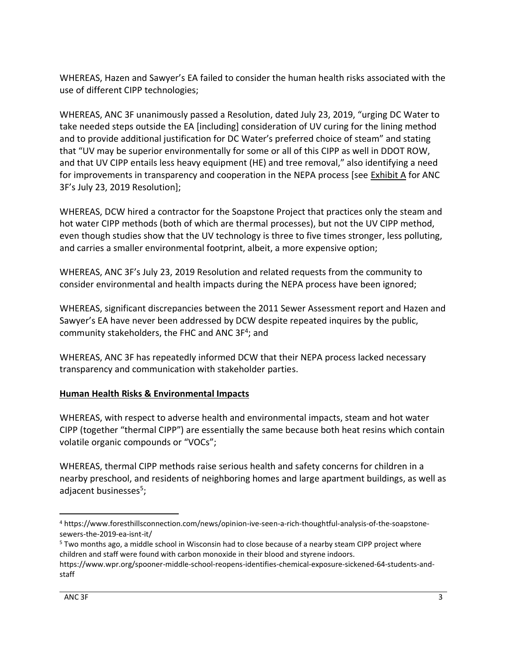WHEREAS, Hazen and Sawyer's EA failed to consider the human health risks associated with the use of different CIPP technologies;

WHEREAS, ANC 3F unanimously passed a Resolution, dated July 23, 2019, "urging DC Water to take needed steps outside the EA [including] consideration of UV curing for the lining method and to provide additional justification for DC Water's preferred choice of steam" and stating that "UV may be superior environmentally for some or all of this CIPP as well in DDOT ROW, and that UV CIPP entails less heavy equipment (HE) and tree removal," also identifying a need for improvements in transparency and cooperation in the NEPA process [see Exhibit A for ANC 3F's July 23, 2019 Resolution];

WHEREAS, DCW hired a contractor for the Soapstone Project that practices only the steam and hot water CIPP methods (both of which are thermal processes), but not the UV CIPP method, even though studies show that the UV technology is three to five times stronger, less polluting, and carries a smaller environmental footprint, albeit, a more expensive option;

WHEREAS, ANC 3F's July 23, 2019 Resolution and related requests from the community to consider environmental and health impacts during the NEPA process have been ignored;

WHEREAS, significant discrepancies between the 2011 Sewer Assessment report and Hazen and Sawyer's EA have never been addressed by DCW despite repeated inquires by the public, community stakeholders, the FHC and ANC 3F<sup>4</sup>; and

WHEREAS, ANC 3F has repeatedly informed DCW that their NEPA process lacked necessary transparency and communication with stakeholder parties.

### **Human Health Risks & Environmental Impacts**

WHEREAS, with respect to adverse health and environmental impacts, steam and hot water CIPP (together "thermal CIPP") are essentially the same because both heat resins which contain volatile organic compounds or "VOCs";

WHEREAS, thermal CIPP methods raise serious health and safety concerns for children in a nearby preschool, and residents of neighboring homes and large apartment buildings, as well as adjacent businesses<sup>5</sup>;

<sup>4</sup> https://www.foresthillsconnection.com/news/opinion-ive-seen-a-rich-thoughtful-analysis-of-the-soapstonesewers-the-2019-ea-isnt-it/

<sup>5</sup> Two months ago, a middle school in Wisconsin had to close because of a nearby steam CIPP project where children and staff were found with carbon monoxide in their blood and styrene indoors.

https://www.wpr.org/spooner-middle-school-reopens-identifies-chemical-exposure-sickened-64-students-andstaff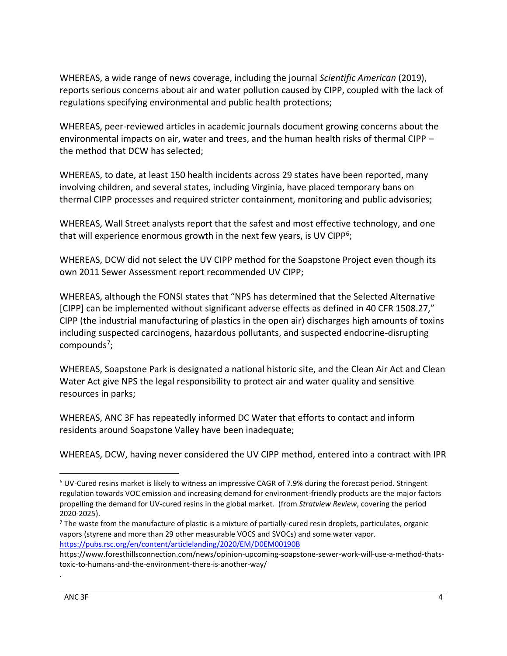WHEREAS, a wide range of news coverage, including the journal *Scientific American* (2019), reports serious concerns about air and water pollution caused by CIPP, coupled with the lack of regulations specifying environmental and public health protections;

WHEREAS, peer-reviewed articles in academic journals document growing concerns about the environmental impacts on air, water and trees, and the human health risks of thermal CIPP  $$ the method that DCW has selected;

WHEREAS, to date, at least 150 health incidents across 29 states have been reported, many involving children, and several states, including Virginia, have placed temporary bans on thermal CIPP processes and required stricter containment, monitoring and public advisories;

WHEREAS, Wall Street analysts report that the safest and most effective technology, and one that will experience enormous growth in the next few years, is UV CIPP<sup>6</sup>;

WHEREAS, DCW did not select the UV CIPP method for the Soapstone Project even though its own 2011 Sewer Assessment report recommended UV CIPP;

WHEREAS, although the FONSI states that "NPS has determined that the Selected Alternative [CIPP] can be implemented without significant adverse effects as defined in 40 CFR 1508.27," CIPP (the industrial manufacturing of plastics in the open air) discharges high amounts of toxins including suspected carcinogens, hazardous pollutants, and suspected endocrine-disrupting compounds<sup>7</sup>;

WHEREAS, Soapstone Park is designated a national historic site, and the Clean Air Act and Clean Water Act give NPS the legal responsibility to protect air and water quality and sensitive resources in parks;

WHEREAS, ANC 3F has repeatedly informed DC Water that efforts to contact and inform residents around Soapstone Valley have been inadequate;

WHEREAS, DCW, having never considered the UV CIPP method, entered into a contract with IPR

.

<sup>6</sup> UV-Cured resins market is likely to witness an impressive CAGR of 7.9% during the forecast period. Stringent regulation towards VOC emission and increasing demand for environment-friendly products are the major factors propelling the demand for UV-cured resins in the global market. (from *Stratview Review*, covering the period 2020-2025).

<sup>&</sup>lt;sup>7</sup> The waste from the manufacture of plastic is a mixture of partially-cured resin droplets, particulates, organic vapors (styrene and more than 29 other measurable VOCS and SVOCs) and some water vapor. <https://pubs.rsc.org/en/content/articlelanding/2020/EM/D0EM00190B>

https://www.foresthillsconnection.com/news/opinion-upcoming-soapstone-sewer-work-will-use-a-method-thatstoxic-to-humans-and-the-environment-there-is-another-way/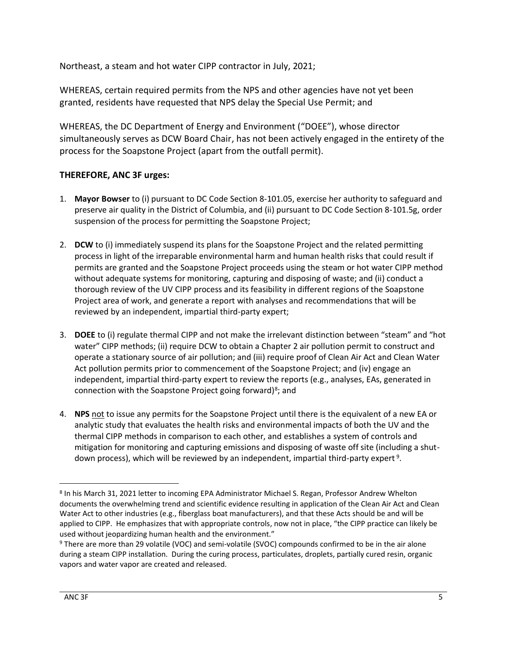Northeast, a steam and hot water CIPP contractor in July, 2021;

WHEREAS, certain required permits from the NPS and other agencies have not yet been granted, residents have requested that NPS delay the Special Use Permit; and

WHEREAS, the DC Department of Energy and Environment ("DOEE"), whose director simultaneously serves as DCW Board Chair, has not been actively engaged in the entirety of the process for the Soapstone Project (apart from the outfall permit).

#### **THEREFORE, ANC 3F urges:**

- 1. **Mayor Bowser** to (i) pursuant to DC Code Section 8-101.05, exercise her authority to safeguard and preserve air quality in the District of Columbia, and (ii) pursuant to DC Code Section 8-101.5g, order suspension of the process for permitting the Soapstone Project;
- 2. **DCW** to (i) immediately suspend its plans for the Soapstone Project and the related permitting process in light of the irreparable environmental harm and human health risks that could result if permits are granted and the Soapstone Project proceeds using the steam or hot water CIPP method without adequate systems for monitoring, capturing and disposing of waste; and (ii) conduct a thorough review of the UV CIPP process and its feasibility in different regions of the Soapstone Project area of work, and generate a report with analyses and recommendations that will be reviewed by an independent, impartial third-party expert;
- 3. DOEE to (i) regulate thermal CIPP and not make the irrelevant distinction between "steam" and "hot water" CIPP methods; (ii) require DCW to obtain a Chapter 2 air pollution permit to construct and operate a stationary source of air pollution; and (iii) require proof of Clean Air Act and Clean Water Act pollution permits prior to commencement of the Soapstone Project; and (iv) engage an independent, impartial third-party expert to review the reports (e.g., analyses, EAs, generated in connection with the Soapstone Project going forward)<sup>8</sup>; and
- 4. **NPS** not to issue any permits for the Soapstone Project until there is the equivalent of a new EA or analytic study that evaluates the health risks and environmental impacts of both the UV and the thermal CIPP methods in comparison to each other, and establishes a system of controls and mitigation for monitoring and capturing emissions and disposing of waste off site (including a shutdown process), which will be reviewed by an independent, impartial third-party expert<sup>9</sup>.

<sup>8</sup> In his March 31, 2021 letter to incoming EPA Administrator Michael S. Regan, Professor Andrew Whelton documents the overwhelming trend and scientific evidence resulting in application of the Clean Air Act and Clean Water Act to other industries (e.g., fiberglass boat manufacturers), and that these Acts should be and will be applied to CIPP. He emphasizes that with appropriate controls, now not in place, "the CIPP practice can likely be used without jeopardizing human health and the environment."

<sup>9</sup> There are more than 29 volatile (VOC) and semi-volatile (SVOC) compounds confirmed to be in the air alone during a steam CIPP installation. During the curing process, particulates, droplets, partially cured resin, organic vapors and water vapor are created and released.